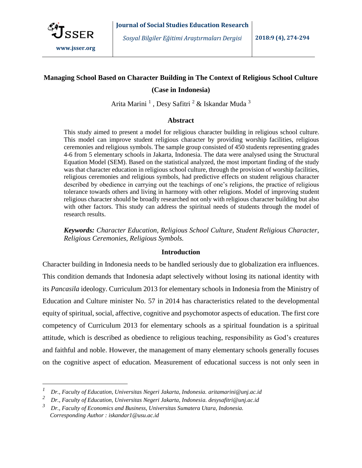

 $\overline{a}$ 

## **Managing School Based on Character Building in The Context of Religious School Culture**

### **(Case in Indonesia)**

Arita Marini <sup>1</sup> , Desy Safitri <sup>2</sup> & Iskandar Muda <sup>3</sup>

### **Abstract**

This study aimed to present a model for religious character building in religious school culture. This model can improve student religious character by providing worship facilities, religious ceremonies and religious symbols. The sample group consisted of 450 students representing grades 4-6 from 5 elementary schools in Jakarta, Indonesia. The data were analysed using the Structural Equation Model (SEM). Based on the statistical analyzed, the most important finding of the study was that character education in religious school culture, through the provision of worship facilities, religious ceremonies and religious symbols, had predictive effects on student religious character described by obedience in carrying out the teachings of one's religions, the practice of religious tolerance towards others and living in harmony with other religions. Model of improving student religious character should be broadly researched not only with religious character building but also with other factors. This study can address the spiritual needs of students through the model of research results.

*Keywords: Character Education, Religious School Culture, Student Religious Character, Religious Ceremonies, Religious Symbols.*

#### **Introduction**

Character building in Indonesia needs to be handled seriously due to globalization era influences. This condition demands that Indonesia adapt selectively without losing its national identity with its *Pancasila* ideology. Curriculum 2013 for elementary schools in Indonesia from the Ministry of Education and Culture minister No. 57 in 2014 has characteristics related to the developmental equity of spiritual, social, affective, cognitive and psychomotor aspects of education. The first core competency of Curriculum 2013 for elementary schools as a spiritual foundation is a spiritual attitude, which is described as obedience to religious teaching, responsibility as God's creatures and faithful and noble. However, the management of many elementary schools generally focuses on the cognitive aspect of education. Measurement of educational success is not only seen in

*<sup>1</sup> Dr., Faculty of Education, Universitas Negeri Jakarta, Indonesia. [aritamarini@unj.ac.id](mailto:aritamarini@unj.ac.id)*

*<sup>2</sup> Dr., Faculty of Education, Universitas Negeri Jakarta, Indonesia[. desysafitri@unj.ac.id](mailto:desysafitri@unj.ac.id)*

*<sup>3</sup> Dr., Faculty of Economics and Business, Universitas Sumatera Utara, Indonesia. Corresponding Author [: iskandar1@usu.ac.id](mailto:desysafitri@unj.ac.id)*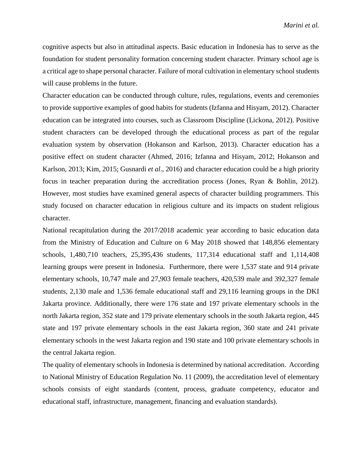cognitive aspects but also in attitudinal aspects. Basic education in Indonesia has to serve as the foundation for student personality formation concerning student character. Primary school age is a critical age to shape personal character. Failure of moral cultivation in elementary school students will cause problems in the future.

Character education can be conducted through culture, rules, regulations, events and ceremonies to provide supportive examples of good habits for students (Izfanna and Hisyam, 2012). Character education can be integrated into courses, such as Classroom Discipline (Lickona, 2012). Positive student characters can be developed through the educational process as part of the regular evaluation system by observation (Hokanson and Karlson, 2013). Character education has a positive effect on student character (Ahmed, 2016; Izfanna and Hisyam, 2012; Hokanson and Karlson, 2013; Kim, 2015; Gusnardi *et al*., 2016) and character education could be a high priority focus in teacher preparation during the accreditation process (Jones, Ryan & Bohlin, 2012). However, most studies have examined general aspects of character building programmers. This study focused on character education in religious culture and its impacts on student religious character.

National recapitulation during the 2017/2018 academic year according to basic education data from the Ministry of Education and Culture on 6 May 2018 showed that 148,856 elementary schools, 1,480,710 teachers, 25,395,436 students, 117,314 educational staff and 1,114,408 learning groups were present in Indonesia. Furthermore, there were 1,537 state and 914 private elementary schools, 10,747 male and 27,903 female teachers, 420,539 male and 392,327 female students, 2,130 male and 1,536 female educational staff and 29,116 learning groups in the DKI Jakarta province. Additionally, there were 176 state and 197 private elementary schools in the north Jakarta region, 352 state and 179 private elementary schools in the south Jakarta region, 445 state and 197 private elementary schools in the east Jakarta region, 360 state and 241 private elementary schools in the west Jakarta region and 190 state and 100 private elementary schools in the central Jakarta region.

The quality of elementary schools in Indonesia is determined by national accreditation. According to National Ministry of Education Regulation No. 11 (2009), the accreditation level of elementary schools consists of eight standards (content, process, graduate competency, educator and educational staff, infrastructure, management, financing and evaluation standards).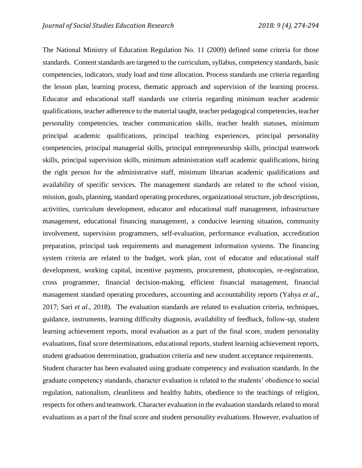The National Ministry of Education Regulation No. 11 (2009) defined some criteria for those standards. Content standards are targeted to the curriculum, syllabus, competency standards, basic competencies, indicators, study load and time allocation. Process standards use criteria regarding the lesson plan, learning process, thematic approach and supervision of the learning process. Educator and educational staff standards use criteria regarding minimum teacher academic qualifications, teacher adherence to the material taught, teacher pedagogical competencies, teacher personality competencies, teacher communication skills, teacher health statuses, minimum principal academic qualifications, principal teaching experiences, principal personality competencies, principal managerial skills, principal entrepreneurship skills, principal teamwork skills, principal supervision skills, minimum administration staff academic qualifications, hiring the right person for the administrative staff, minimum librarian academic qualifications and availability of specific services. The management standards are related to the school vision, mission, goals, planning, standard operating procedures, organizational structure, job descriptions, activities, curriculum development, educator and educational staff management, infrastructure management, educational financing management, a conducive learning situation, community involvement, supervision programmers, self-evaluation, performance evaluation, accreditation preparation, principal task requirements and management information systems. The financing system criteria are related to the budget, work plan, cost of educator and educational staff development, working capital, incentive payments, procurement, photocopies, re-registration, cross programmer, financial decision-making, efficient financial management, financial management standard operating procedures, accounting and accountability reports (Yahya *et al*., 2017; Sari *et al*., 2018). The evaluation standards are related to evaluation criteria, techniques, guidance, instruments, learning difficulty diagnosis, availability of feedback, follow-up, student learning achievement reports, moral evaluation as a part of the final score, student personality evaluations, final score determinations, educational reports, student learning achievement reports, student graduation determination, graduation criteria and new student acceptance requirements. Student character has been evaluated using graduate competency and evaluation standards. In the graduate competency standards, character evaluation is related to the students' obedience to social regulation, nationalism, cleanliness and healthy habits, obedience to the teachings of religion, respects for others and teamwork. Character evaluation in the evaluation standards related to moral evaluations as a part of the final score and student personality evaluations. However, evaluation of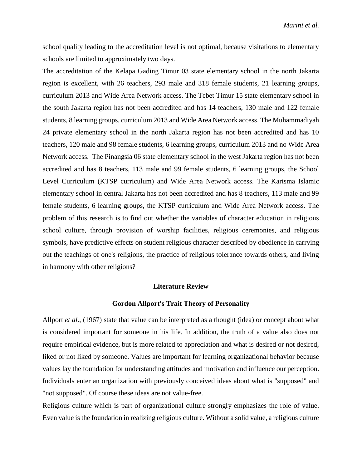school quality leading to the accreditation level is not optimal, because visitations to elementary schools are limited to approximately two days.

The accreditation of the Kelapa Gading Timur 03 state elementary school in the north Jakarta region is excellent, with 26 teachers, 293 male and 318 female students, 21 learning groups, curriculum 2013 and Wide Area Network access. The Tebet Timur 15 state elementary school in the south Jakarta region has not been accredited and has 14 teachers, 130 male and 122 female students, 8 learning groups, curriculum 2013 and Wide Area Network access. The Muhammadiyah 24 private elementary school in the north Jakarta region has not been accredited and has 10 teachers, 120 male and 98 female students, 6 learning groups, curriculum 2013 and no Wide Area Network access. The Pinangsia 06 state elementary school in the west Jakarta region has not been accredited and has 8 teachers, 113 male and 99 female students, 6 learning groups, the School Level Curriculum (KTSP curriculum) and Wide Area Network access. The Karisma Islamic elementary school in central Jakarta has not been accredited and has 8 teachers, 113 male and 99 female students, 6 learning groups, the KTSP curriculum and Wide Area Network access. The problem of this research is to find out whether the variables of character education in religious school culture, through provision of worship facilities, religious ceremonies, and religious symbols, have predictive effects on student religious character described by obedience in carrying out the teachings of one's religions, the practice of religious tolerance towards others, and living in harmony with other religions?

### **Literature Review**

#### **[Gordon Allport's Trait Theory of Personality](https://psychologenie.com/understanding-gordon-allports-trait-theory-of-personality)**

Allport *et al*., (1967) state that value can be interpreted as a thought (idea) or concept about what is considered important for someone in his life. In addition, the truth of a value also does not require empirical evidence, but is more related to appreciation and what is desired or not desired, liked or not liked by someone. Values are important for learning organizational behavior because values lay the foundation for understanding attitudes and motivation and influence our perception. Individuals enter an organization with previously conceived ideas about what is "supposed" and "not supposed". Of course these ideas are not value-free.

Religious culture which is part of organizational culture strongly emphasizes the role of value. Even value is the foundation in realizing religious culture. Without a solid value, a religious culture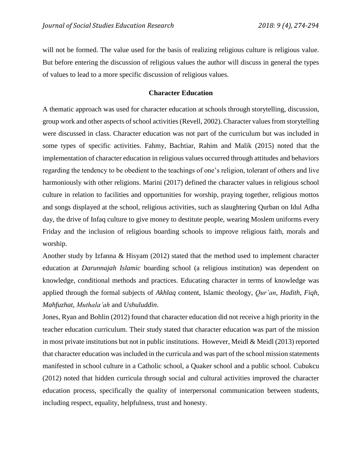will not be formed. The value used for the basis of realizing religious culture is religious value. But before entering the discussion of religious values the author will discuss in general the types of values to lead to a more specific discussion of religious values.

### **Character Education**

A thematic approach was used for character education at schools through storytelling, discussion, group work and other aspects of school activities (Revell, 2002). Character values from storytelling were discussed in class. Character education was not part of the curriculum but was included in some types of specific activities. Fahmy, Bachtiar, Rahim and Malik (2015) noted that the implementation of character education in religious values occurred through attitudes and behaviors regarding the tendency to be obedient to the teachings of one's religion, tolerant of others and live harmoniously with other religions. Marini (2017) defined the character values in religious school culture in relation to facilities and opportunities for worship, praying together, religious mottos and songs displayed at the school, religious activities, such as slaughtering Qurban on Idul Adha day, the drive of Infaq culture to give money to destitute people, wearing Moslem uniforms every Friday and the inclusion of religious boarding schools to improve religious faith, morals and worship.

Another study by Izfanna & Hisyam (2012) stated that the method used to implement character education at *Darunnajah Islamic* boarding school (a religious institution) was dependent on knowledge, conditional methods and practices. Educating character in terms of knowledge was applied through the formal subjects of *Akhlaq* content, Islamic theology, *Qur'an*, *Hadith*, *Fiqh*, *Mahfuzhat*, *Muthala'ah* and *Ushuluddin*.

Jones, Ryan and Bohlin (2012) found that character education did not receive a high priority in the teacher education curriculum. Their study stated that character education was part of the mission in most private institutions but not in public institutions. However, Meidl & Meidl (2013) reported that character education was included in the curricula and was part of the school mission statements manifested in school culture in a Catholic school, a Quaker school and a public school. Cubukcu (2012) noted that hidden curricula through social and cultural activities improved the character education process, specifically the quality of interpersonal communication between students, including respect, equality, helpfulness, trust and honesty.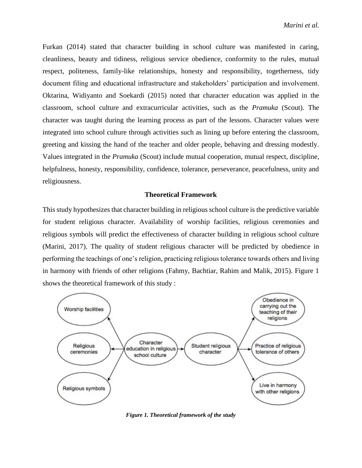Furkan (2014) stated that character building in school culture was manifested in caring, cleanliness, beauty and tidiness, religious service obedience, conformity to the rules, mutual respect, politeness, family-like relationships, honesty and responsibility, togetherness, tidy document filing and educational infrastructure and stakeholders' participation and involvement. Oktarina, Widiyanto and Soekardi (2015) noted that character education was applied in the classroom, school culture and extracurricular activities, such as the *Pramuka* (Scout). The character was taught during the learning process as part of the lessons. Character values were integrated into school culture through activities such as lining up before entering the classroom, greeting and kissing the hand of the teacher and older people, behaving and dressing modestly. Values integrated in the *Pramuka* (Scout) include mutual cooperation, mutual respect, discipline, helpfulness, honesty, responsibility, confidence, tolerance, perseverance, peacefulness, unity and religiousness.

#### **Theoretical Framework**

This study hypothesizes that character building in religious school culture is the predictive variable for student religious character. Availability of worship facilities, religious ceremonies and religious symbols will predict the effectiveness of character building in religious school culture (Marini, 2017). The quality of student religious character will be predicted by obedience in performing the teachings of one's religion, practicing religious tolerance towards others and living in harmony with friends of other religions (Fahmy, Bachtiar, Rahim and Malik, 2015). Figure 1 shows the theoretical framework of this study :



*Figure 1. Theoretical framework of the study*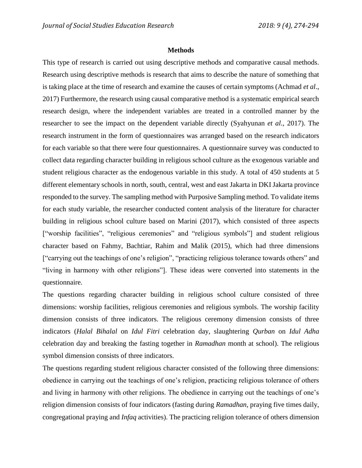### **Methods**

This type of research is carried out using descriptive methods and comparative causal methods. Research using descriptive methods is research that aims to describe the nature of something that is taking place at the time of research and examine the causes of certain symptoms (Achmad *et al*., 2017) Furthermore, the research using causal comparative method is a systematic empirical search research design, where the independent variables are treated in a controlled manner by the researcher to see the impact on the dependent variable directly (Syahyunan *et al*., 2017). The research instrument in the form of questionnaires was arranged based on the research indicators for each variable so that there were four questionnaires. A questionnaire survey was conducted to collect data regarding character building in religious school culture as the exogenous variable and student religious character as the endogenous variable in this study. A total of 450 students at 5 different elementary schools in north, south, central, west and east Jakarta in DKI Jakarta province responded to the survey. The sampling method with Purposive Sampling method. To validate items for each study variable, the researcher conducted content analysis of the literature for character building in religious school culture based on Marini (2017), which consisted of three aspects ["worship facilities", "religious ceremonies" and "religious symbols"] and student religious character based on Fahmy, Bachtiar, Rahim and Malik (2015), which had three dimensions ["carrying out the teachings of one's religion", "practicing religious tolerance towards others" and "living in harmony with other religions"]. These ideas were converted into statements in the questionnaire.

The questions regarding character building in religious school culture consisted of three dimensions: worship facilities, religious ceremonies and religious symbols. The worship facility dimension consists of three indicators. The religious ceremony dimension consists of three indicators (*Halal Bihalal* on *Idul Fitri* celebration day, slaughtering *Qurban* on *Idul Adha* celebration day and breaking the fasting together in *Ramadhan* month at school). The religious symbol dimension consists of three indicators.

The questions regarding student religious character consisted of the following three dimensions: obedience in carrying out the teachings of one's religion, practicing religious tolerance of others and living in harmony with other religions. The obedience in carrying out the teachings of one's religion dimension consists of four indicators (fasting during *Ramadhan*, praying five times daily, congregational praying and *Infaq* activities). The practicing religion tolerance of others dimension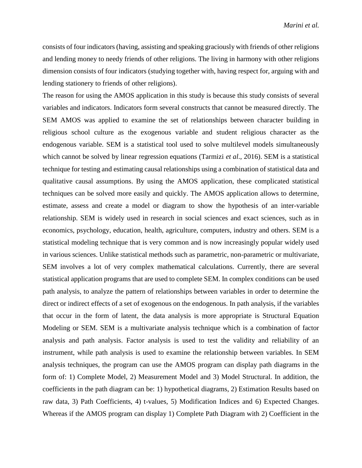consists of four indicators (having, assisting and speaking graciously with friends of other religions and lending money to needy friends of other religions. The living in harmony with other religions dimension consists of four indicators (studying together with, having respect for, arguing with and lending stationery to friends of other religions).

The reason for using the AMOS application in this study is because this study consists of several variables and indicators. Indicators form several constructs that cannot be measured directly. The SEM AMOS was applied to examine the set of relationships between character building in religious school culture as the exogenous variable and student religious character as the endogenous variable. SEM is a statistical tool used to solve multilevel models simultaneously which cannot be solved by linear regression equations (Tarmizi *et al*., 2016). SEM is a statistical technique for testing and estimating causal relationships using a combination of statistical data and qualitative causal assumptions. By using the AMOS application, these complicated statistical techniques can be solved more easily and quickly. The AMOS application allows to determine, estimate, assess and create a model or diagram to show the hypothesis of an inter-variable relationship. SEM is widely used in research in social sciences and exact sciences, such as in economics, psychology, education, health, agriculture, computers, industry and others. SEM is a statistical modeling technique that is very common and is now increasingly popular widely used in various sciences. Unlike statistical methods such as parametric, non-parametric or multivariate, SEM involves a lot of very complex mathematical calculations. Currently, there are several statistical application programs that are used to complete SEM. In complex conditions can be used path analysis, to analyze the pattern of relationships between variables in order to determine the direct or indirect effects of a set of exogenous on the endogenous. In path analysis, if the variables that occur in the form of latent, the data analysis is more appropriate is Structural Equation Modeling or SEM. SEM is a multivariate analysis technique which is a combination of factor analysis and path analysis. Factor analysis is used to test the validity and reliability of an instrument, while path analysis is used to examine the relationship between variables. In SEM analysis techniques, the program can use the AMOS program can display path diagrams in the form of: 1) Complete Model, 2) Measurement Model and 3) Model Structural. In addition, the coefficients in the path diagram can be: 1) hypothetical diagrams, 2) Estimation Results based on raw data, 3) Path Coefficients, 4) t-values, 5) Modification Indices and 6) Expected Changes. Whereas if the AMOS program can display 1) Complete Path Diagram with 2) Coefficient in the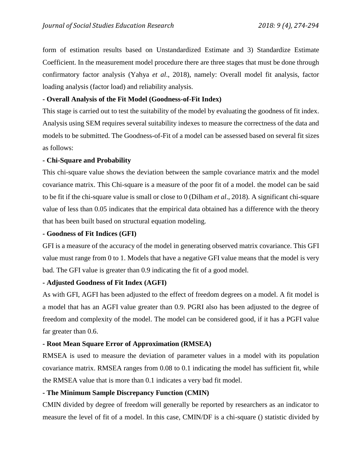form of estimation results based on Unstandardized Estimate and 3) Standardize Estimate Coefficient. In the measurement model procedure there are three stages that must be done through confirmatory factor analysis (Yahya *et al*., 2018), namely: Overall model fit analysis, factor loading analysis (factor load) and reliability analysis.

## **- Overall Analysis of the Fit Model (Goodness-of-Fit Index)**

This stage is carried out to test the suitability of the model by evaluating the goodness of fit index. Analysis using SEM requires several suitability indexes to measure the correctness of the data and models to be submitted. The Goodness-of-Fit of a model can be assessed based on several fit sizes as follows:

## **- Chi-Square and Probability**

This chi-square value shows the deviation between the sample covariance matrix and the model covariance matrix. This Chi-square is a measure of the poor fit of a model. the model can be said to be fit if the chi-square value is small or close to 0 (Dilham *et al*., 2018). A significant chi-square value of less than 0.05 indicates that the empirical data obtained has a difference with the theory that has been built based on structural equation modeling.

## **- Goodness of Fit Indices (GFI)**

GFI is a measure of the accuracy of the model in generating observed matrix covariance. This GFI value must range from 0 to 1. Models that have a negative GFI value means that the model is very bad. The GFI value is greater than 0.9 indicating the fit of a good model.

## **- Adjusted Goodness of Fit Index (AGFI)**

As with GFI, AGFI has been adjusted to the effect of freedom degrees on a model. A fit model is a model that has an AGFI value greater than 0.9. PGRI also has been adjusted to the degree of freedom and complexity of the model. The model can be considered good, if it has a PGFI value far greater than 0.6.

## **- Root Mean Square Error of Approximation (RMSEA)**

RMSEA is used to measure the deviation of parameter values in a model with its population covariance matrix. RMSEA ranges from 0.08 to 0.1 indicating the model has sufficient fit, while the RMSEA value that is more than 0.1 indicates a very bad fit model.

## **- The Minimum Sample Discrepancy Function (CMIN)**

CMIN divided by degree of freedom will generally be reported by researchers as an indicator to measure the level of fit of a model. In this case, CMIN/DF is a chi-square () statistic divided by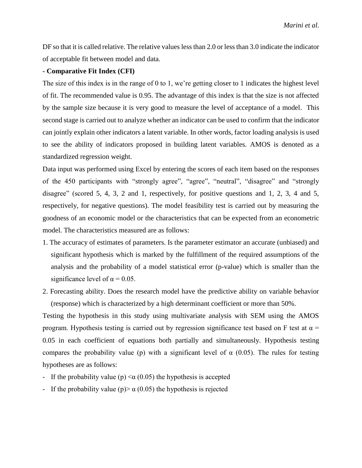DF so that it is called relative. The relative values less than 2.0 or less than 3.0 indicate the indicator of acceptable fit between model and data.

### **- Comparative Fit Index (CFI)**

The size of this index is in the range of 0 to 1, we're getting closer to 1 indicates the highest level of fit. The recommended value is 0.95. The advantage of this index is that the size is not affected by the sample size because it is very good to measure the level of acceptance of a model. This second stage is carried out to analyze whether an indicator can be used to confirm that the indicator can jointly explain other indicators a latent variable. In other words, factor loading analysis is used to see the ability of indicators proposed in building latent variables. AMOS is denoted as a standardized regression weight.

Data input was performed using Excel by entering the scores of each item based on the responses of the 450 participants with "strongly agree", "agree", "neutral", "disagree" and "strongly disagree" (scored 5, 4, 3, 2 and 1, respectively, for positive questions and 1, 2, 3, 4 and 5, respectively, for negative questions). The model feasibility test is carried out by measuring the goodness of an economic model or the characteristics that can be expected from an econometric model. The characteristics measured are as follows:

- 1. The accuracy of estimates of parameters. Is the parameter estimator an accurate (unbiased) and significant hypothesis which is marked by the fulfillment of the required assumptions of the analysis and the probability of a model statistical error (p-value) which is smaller than the significance level of  $\alpha = 0.05$ .
- 2. Forecasting ability. Does the research model have the predictive ability on variable behavior (response) which is characterized by a high determinant coefficient or more than 50%.

Testing the hypothesis in this study using multivariate analysis with SEM using the AMOS program. Hypothesis testing is carried out by regression significance test based on F test at  $\alpha$  = 0.05 in each coefficient of equations both partially and simultaneously. Hypothesis testing compares the probability value (p) with a significant level of  $\alpha$  (0.05). The rules for testing hypotheses are as follows:

- If the probability value (p)  $\alpha$  (0.05) the hypothesis is accepted
- If the probability value (p)  $\alpha$  (0.05) the hypothesis is rejected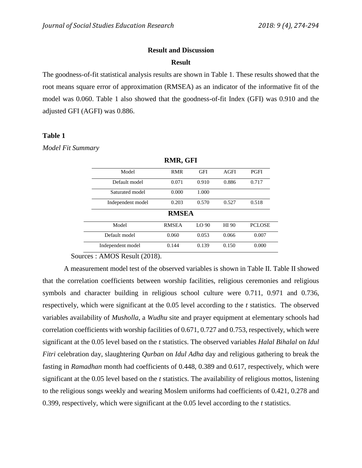### **Result and Discussion**

#### **Result**

The goodness-of-fit statistical analysis results are shown in Table 1. These results showed that the root means square error of approximation (RMSEA) as an indicator of the informative fit of the model was 0.060. Table 1 also showed that the goodness-of-fit Index (GFI) was 0.910 and the adjusted GFI (AGFI) was 0.886.

### **Table 1**

*Model Fit Summary*

|                   | $\mathbf{z}$ |                  |             |               |  |  |
|-------------------|--------------|------------------|-------------|---------------|--|--|
| Model             | <b>RMR</b>   | <b>GFI</b>       | <b>AGFI</b> | <b>PGFI</b>   |  |  |
| Default model     | 0.071        | 0.910            | 0.886       | 0.717         |  |  |
| Saturated model   | 0.000        | 1.000            |             |               |  |  |
| Independent model | 0.203        | 0.570            | 0.527       | 0.518         |  |  |
| <b>RMSEA</b>      |              |                  |             |               |  |  |
| Model             | <b>RMSEA</b> | LO <sub>90</sub> | HI 90       | <b>PCLOSE</b> |  |  |
| Default model     | 0.060        | 0.053            | 0.066       | 0.007         |  |  |
| Independent model | 0.144        | 0.139            | 0.150       | 0.000         |  |  |

**RMR, GFI**

Sources : AMOS Result (2018).

A measurement model test of the observed variables is shown in Table II. Table II showed that the correlation coefficients between worship facilities, religious ceremonies and religious symbols and character building in religious school culture were 0.711, 0.971 and 0.736, respectively, which were significant at the 0.05 level according to the *t* statistics. The observed variables availability of *Musholla*, a *Wudhu* site and prayer equipment at elementary schools had correlation coefficients with worship facilities of 0.671, 0.727 and 0.753, respectively, which were significant at the 0.05 level based on the *t* statistics. The observed variables *Halal Bihalal* on *Idul Fitri* celebration day, slaughtering *Qurban* on *Idul Adha* day and religious gathering to break the fasting in *Ramadhan* month had coefficients of 0.448, 0.389 and 0.617, respectively, which were significant at the 0.05 level based on the *t* statistics. The availability of religious mottos, listening to the religious songs weekly and wearing Moslem uniforms had coefficients of 0.421, 0.278 and 0.399, respectively, which were significant at the 0.05 level according to the *t* statistics.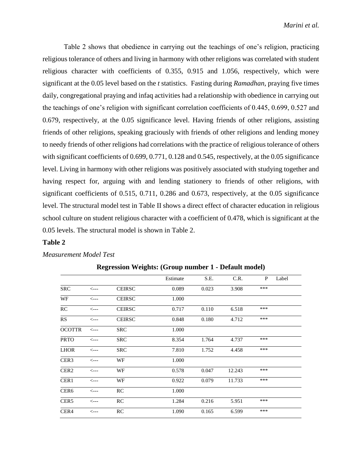Table 2 shows that obedience in carrying out the teachings of one's religion, practicing religious tolerance of others and living in harmony with other religions was correlated with student religious character with coefficients of 0.355, 0.915 and 1.056, respectively, which were significant at the 0.05 level based on the *t* statistics. Fasting during *Ramadhan*, praying five times daily, congregational praying and infaq activities had a relationship with obedience in carrying out the teachings of one's religion with significant correlation coefficients of 0.445, 0.699, 0.527 and 0.679, respectively, at the 0.05 significance level. Having friends of other religions, assisting friends of other religions, speaking graciously with friends of other religions and lending money to needy friends of other religions had correlations with the practice of religious tolerance of others with significant coefficients of 0.699, 0.771, 0.128 and 0.545, respectively, at the 0.05 significance level. Living in harmony with other religions was positively associated with studying together and having respect for, arguing with and lending stationery to friends of other religions, with significant coefficients of 0.515, 0.711, 0.286 and 0.673, respectively, at the 0.05 significance level. The structural model test in Table II shows a direct effect of character education in religious school culture on student religious character with a coefficient of 0.478, which is significant at the 0.05 levels. The structural model is shown in Table 2.

### **Table 2**

### *Measurement Model Test*

|                  |                  |               | Estimate | S.E.  | C.R.   | P   | Label |
|------------------|------------------|---------------|----------|-------|--------|-----|-------|
| <b>SRC</b>       | $\leftarrow$ --  | <b>CEIRSC</b> | 0.089    | 0.023 | 3.908  | *** |       |
| WF               | $\leftarrow$ --  | <b>CEIRSC</b> | 1.000    |       |        |     |       |
| RC               | $\leftarrow$ --- | <b>CEIRSC</b> | 0.717    | 0.110 | 6.518  | *** |       |
| RS               | $\leftarrow$ --  | <b>CEIRSC</b> | 0.848    | 0.180 | 4.712  | *** |       |
| <b>OCOTTR</b>    | $\leftarrow$ --  | <b>SRC</b>    | 1.000    |       |        |     |       |
| <b>PRTO</b>      | $\leftarrow -$   | <b>SRC</b>    | 8.354    | 1.764 | 4.737  | *** |       |
| <b>LHOR</b>      | $\leftarrow$ --  | <b>SRC</b>    | 7.810    | 1.752 | 4.458  | *** |       |
| CER <sub>3</sub> | $\leftarrow$ --  | WF            | 1.000    |       |        |     |       |
| CER <sub>2</sub> | $\leftarrow -$   | WF            | 0.578    | 0.047 | 12.243 | *** |       |
| CER1             | $\leftarrow$ --  | WF            | 0.922    | 0.079 | 11.733 | *** |       |
| CER <sub>6</sub> | $\leftarrow$ --  | RC            | 1.000    |       |        |     |       |
| CER <sub>5</sub> | $\leftarrow$ --- | <b>RC</b>     | 1.284    | 0.216 | 5.951  | *** |       |
| CER4             | $\leftarrow$ --  | RC            | 1.090    | 0.165 | 6.599  | *** |       |

**Regression Weights: (Group number 1 - Default model)**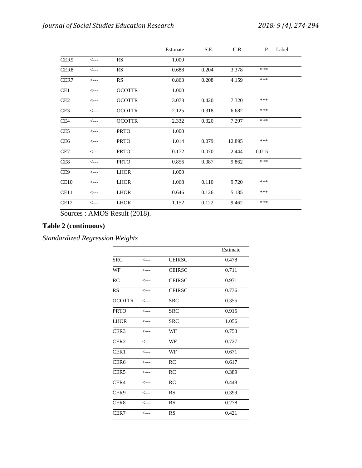|                  |                  |               | Estimate | S.E.  | C.R.   | P     | Label |
|------------------|------------------|---------------|----------|-------|--------|-------|-------|
| CER <sub>9</sub> | $\leftarrow$ --  | RS            | 1.000    |       |        |       |       |
| CER <sub>8</sub> | $\leftarrow$ --  | <b>RS</b>     | 0.688    | 0.204 | 3.378  | ***   |       |
| CER7             | $\leftarrow$ --- | RS            | 0.863    | 0.208 | 4.159  | ***   |       |
| CE1              | $\leftarrow$ --  | <b>OCOTTR</b> | 1.000    |       |        |       |       |
| CE <sub>2</sub>  | $\leftarrow$ --- | <b>OCOTTR</b> | 3.073    | 0.420 | 7.320  | ***   |       |
| CE <sub>3</sub>  | $\leftarrow$ --- | <b>OCOTTR</b> | 2.125    | 0.318 | 6.682  | ***   |       |
| CE4              | $\leftarrow$ --  | <b>OCOTTR</b> | 2.332    | 0.320 | 7.297  | ***   |       |
| CE <sub>5</sub>  | <---             | <b>PRTO</b>   | 1.000    |       |        |       |       |
| CE <sub>6</sub>  | $\leftarrow$ --- | <b>PRTO</b>   | 1.014    | 0.079 | 12.895 | ***   |       |
| CE7              | $\leftarrow$ --  | <b>PRTO</b>   | 0.172    | 0.070 | 2.444  | 0.015 |       |
| CE <sub>8</sub>  | <---             | <b>PRTO</b>   | 0.856    | 0.087 | 9.862  | ***   |       |
| CE <sub>9</sub>  | $\leftarrow$ --  | <b>LHOR</b>   | 1.000    |       |        |       |       |
| CE10             | $\leftarrow$ --  | <b>LHOR</b>   | 1.068    | 0.110 | 9.720  | ***   |       |
| CE11             | $\leftarrow$ --  | <b>LHOR</b>   | 0.646    | 0.126 | 5.135  | ***   |       |
| CE <sub>12</sub> | $\leftarrow$ --  | <b>LHOR</b>   | 1.152    | 0.122 | 9.462  | ***   |       |

Sources : AMOS Result (2018).

# **Table 2 (continuous)**

*Standardized Regression Weights*

|                  |                  |               | Estimate |
|------------------|------------------|---------------|----------|
| <b>SRC</b>       | <---             | <b>CEIRSC</b> | 0.478    |
| WF               | $\leftarrow$ --  | <b>CEIRSC</b> | 0.711    |
| <b>RC</b>        | $\leftarrow$ --  | <b>CEIRSC</b> | 0.971    |
| <b>RS</b>        | $\leftarrow$ --  | <b>CEIRSC</b> | 0.736    |
| <b>OCOTTR</b>    | <---             | <b>SRC</b>    | 0.355    |
| <b>PRTO</b>      | $\leftarrow$ --  | <b>SRC</b>    | 0.915    |
| <b>LHOR</b>      | $\leftarrow$ --  | <b>SRC</b>    | 1.056    |
| CER <sub>3</sub> | $\leftarrow$ --  | WF            | 0.753    |
| CER <sub>2</sub> | $\leftarrow$ --  | WF            | 0.727    |
| CER <sub>1</sub> | $\leftarrow$ --- | WF            | 0.671    |
| CER <sub>6</sub> | $\leftarrow$ --  | RC            | 0.617    |
| CER <sub>5</sub> | <---             | RC            | 0.389    |
| CER4             | $\leftarrow$ --  | <b>RC</b>     | 0.448    |
| CER <sub>9</sub> | <---             | RS            | 0.399    |
| CER <sub>8</sub> | $\leftarrow$ --  | RS            | 0.278    |
| CER7             | <---             | RS            | 0.421    |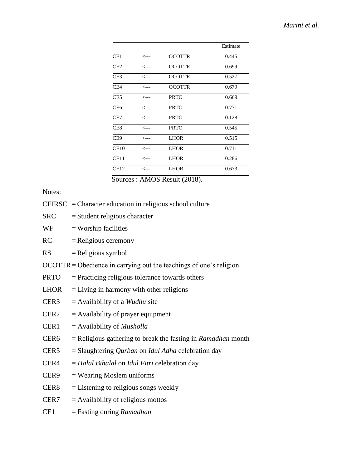|                 |                 |               | Estimate |
|-----------------|-----------------|---------------|----------|
| CE1             | <---            | <b>OCOTTR</b> | 0.445    |
| CE2             | <---            | <b>OCOTTR</b> | 0.699    |
| CE <sub>3</sub> | <---            | <b>OCOTTR</b> | 0.527    |
| CE4             | <---            | <b>OCOTTR</b> | 0.679    |
| CE <sub>5</sub> | <---            | <b>PRTO</b>   | 0.669    |
| CE6             | <---            | <b>PRTO</b>   | 0.771    |
| CE7             | <---            | <b>PRTO</b>   | 0.128    |
| CE8             | <---            | <b>PRTO</b>   | 0.545    |
| CE9             | <---            | <b>LHOR</b>   | 0.515    |
| CE10            | <---            | <b>LHOR</b>   | 0.711    |
| CE11            | $\leftarrow -$  | <b>LHOR</b>   | 0.286    |
| CE12            | $\leftarrow$ -- | <b>LHOR</b>   | 0.673    |
|                 |                 |               |          |

Sources : AMOS Result (2018).

## Notes:

- CEIRSC = Character education in religious school culture
- $SRC = Student$  religious character
- $WF =$  Worship facilities
- $RC = Religious$  ceremony
- $RS = Religious symbol$
- OCOTTR= Obedience in carrying out the teachings of one's religion
- PRTO = Practicing religious tolerance towards others
- $LHOR = Living in harmony with other religious$
- CER3 = Availability of a *Wudhu* site
- $CER2 =$  Availability of prayer equipment
- CER1 = Availability of *Musholla*
- CER6 = Religious gathering to break the fasting in *Ramadhan* month
- CER5 = Slaughtering *Qurban* on *Idul Adha* celebration day
- CER4 = *Halal Bihalal* on *Idul Fitri* celebration day
- $CER9 = Wearing Moslem uniforms$
- $CER8 = Listening to religious songs weekly$
- $CER7 = Availability of religious motors$
- CE1 = Fasting during *Ramadhan*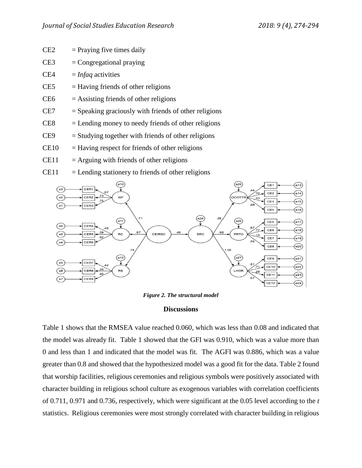- $CE2 = \text{Praying five times daily}$
- $CE3 =$  Congregational praying
- CE4 = *Infaq* activities
- $CE5$  = Having friends of other religions
- $CE6$  = Assisting friends of other religions
- $CE7 = Speaking \, *graciously* \, with \, *friends* \, of \, other \, *religions*$
- $CE8$  = Lending money to needy friends of other religions
- $CE9 =$  Studying together with friends of other religions
- $CE10 = Having respect for friends of other religious$
- $CE11$  = Arguing with friends of other religions
- $CE11$  = Lending stationery to friends of other religions



*Figure 2. The structural model*

### **Discussions**

Table 1 shows that the RMSEA value reached 0.060, which was less than 0.08 and indicated that the model was already fit. Table 1 showed that the GFI was 0.910, which was a value more than 0 and less than 1 and indicated that the model was fit. The AGFI was 0.886, which was a value greater than 0.8 and showed that the hypothesized model was a good fit for the data. Table 2 found that worship facilities, religious ceremonies and religious symbols were positively associated with character building in religious school culture as exogenous variables with correlation coefficients of 0.711, 0.971 and 0.736, respectively, which were significant at the 0.05 level according to the *t* statistics. Religious ceremonies were most strongly correlated with character building in religious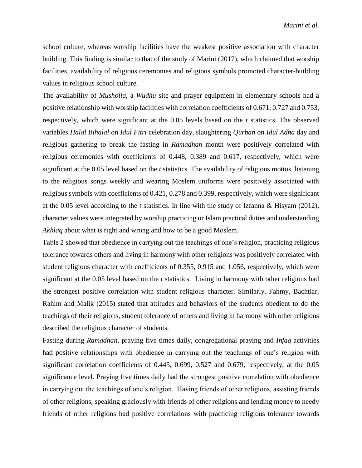school culture, whereas worship facilities have the weakest positive association with character building. This finding is similar to that of the study of Marini (2017), which claimed that worship facilities, availability of religious ceremonies and religious symbols promoted character-building values in religious school culture.

The availability of *Musholla*, a *Wudhu* site and prayer equipment in elementary schools had a positive relationship with worship facilities with correlation coefficients of 0.671, 0.727 and 0.753, respectively, which were significant at the 0.05 levels based on the *t* statistics. The observed variables *Halal Bihalal* on *Idul Fitri* celebration day, slaughtering *Qurban* on *Idul Adha* day and religious gathering to break the fasting in *Ramadhan* month were positively correlated with religious ceremonies with coefficients of 0.448, 0.389 and 0.617, respectively, which were significant at the 0.05 level based on the *t* statistics. The availability of religious mottos, listening to the religious songs weekly and wearing Moslem uniforms were positively associated with religious symbols with coefficients of 0.421, 0.278 and 0.399, respectively, which were significant at the 0.05 level according to the *t* statistics. In line with the study of Izfanna & Hisyam (2012), character values were integrated by worship practicing or Islam practical duties and understanding *Akhlaq* about what is right and wrong and how to be a good Moslem.

Table 2 showed that obedience in carrying out the teachings of one's religion, practicing religious tolerance towards others and living in harmony with other religions was positively correlated with student religious character with coefficients of 0.355, 0.915 and 1.056, respectively, which were significant at the 0.05 level based on the *t* statistics. Living in harmony with other religions had the strongest positive correlation with student religious character. Similarly, Fahmy, Bachtiar, Rahim and Malik (2015) stated that attitudes and behaviors of the students obedient to do the teachings of their religions, student tolerance of others and living in harmony with other religions described the religious character of students.

Fasting during *Ramadhan*, praying five times daily, congregational praying and *Infaq* activities had positive relationships with obedience in carrying out the teachings of one's religion with significant correlation coefficients of 0.445, 0.699, 0.527 and 0.679, respectively, at the 0.05 significance level. Praying five times daily had the strongest positive correlation with obedience in carrying out the teachings of one's religion. Having friends of other religions, assisting friends of other religions, speaking graciously with friends of other religions and lending money to needy friends of other religions had positive correlations with practicing religious tolerance towards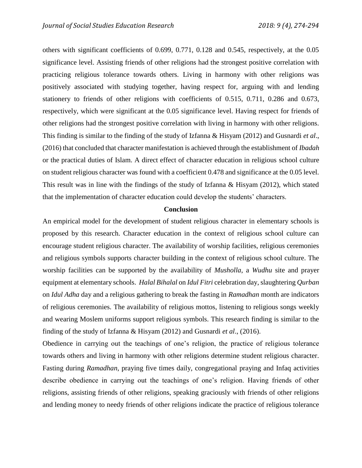others with significant coefficients of 0.699, 0.771, 0.128 and 0.545, respectively, at the 0.05 significance level. Assisting friends of other religions had the strongest positive correlation with practicing religious tolerance towards others. Living in harmony with other religions was positively associated with studying together, having respect for, arguing with and lending stationery to friends of other religions with coefficients of 0.515, 0.711, 0.286 and 0.673, respectively, which were significant at the 0.05 significance level. Having respect for friends of other religions had the strongest positive correlation with living in harmony with other religions. This finding is similar to the finding of the study of Izfanna & Hisyam (2012) and Gusnardi *et al*., (2016) that concluded that character manifestation is achieved through the establishment of *Ibadah* or the practical duties of Islam. A direct effect of character education in religious school culture on student religious character was found with a coefficient 0.478 and significance at the 0.05 level. This result was in line with the findings of the study of Izfanna & Hisyam (2012), which stated that the implementation of character education could develop the students' characters.

### **Conclusion**

An empirical model for the development of student religious character in elementary schools is proposed by this research. Character education in the context of religious school culture can encourage student religious character. The availability of worship facilities, religious ceremonies and religious symbols supports character building in the context of religious school culture. The worship facilities can be supported by the availability of *Musholla*, a *Wudhu* site and prayer equipment at elementary schools. *Halal Bihalal* on *Idul Fitri* celebration day, slaughtering *Qurban* on *Idul Adha* day and a religious gathering to break the fasting in *Ramadhan* month are indicators of religious ceremonies. The availability of religious mottos, listening to religious songs weekly and wearing Moslem uniforms support religious symbols. This research finding is similar to the finding of the study of Izfanna & Hisyam (2012) and Gusnardi *et al*., (2016).

Obedience in carrying out the teachings of one's religion, the practice of religious tolerance towards others and living in harmony with other religions determine student religious character. Fasting during *Ramadhan*, praying five times daily, congregational praying and Infaq activities describe obedience in carrying out the teachings of one's religion. Having friends of other religions, assisting friends of other religions, speaking graciously with friends of other religions and lending money to needy friends of other religions indicate the practice of religious tolerance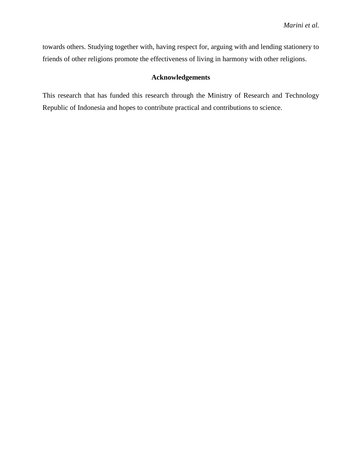towards others. Studying together with, having respect for, arguing with and lending stationery to friends of other religions promote the effectiveness of living in harmony with other religions.

## **Acknowledgements**

This research that has funded this research through the Ministry of Research and Technology Republic of Indonesia and hopes to contribute practical and contributions to science.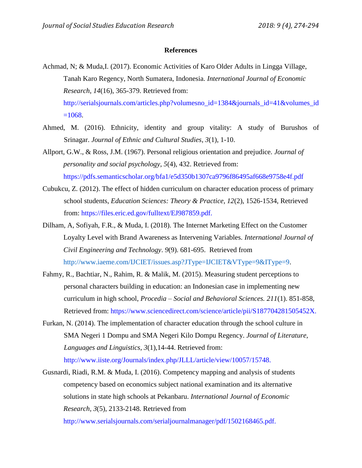### **References**

Achmad, N; & Muda,I. (2017). Economic Activities of Karo Older Adults in Lingga Village, Tanah Karo Regency, North Sumatera, Indonesia. *International Journal of Economic Research*, *14*(16), 365-379. Retrieved from: [http://serialsjournals.com/articles.php?volumesno\\_id=1384&journals\\_id=41&volumes\\_id](http://serialsjournals.com/articles.php?volumesno_id=1384&journals_id=41&volumes_id=1068)  $=1068$ .

- Ahmed, M. (2016). Ethnicity, identity and group vitality: A study of Burushos of Srinagar. *Journal of Ethnic and Cultural Studies*, *3*(1), 1-10.
- Allport, G.W., & Ross, J.M. (1967). Personal religious orientation and prejudice. *Journal of personality and social psychology*, *5*(4), 432. Retrieved from: <https://pdfs.semanticscholar.org/bfa1/e5d350b1307ca9796f86495af668e9758e4f.pdf>
- Cubukcu, Z. (2012). The effect of hidden curriculum on character education process of primary school students, *Education Sciences: Theory & Practice, 12*(2), 1526-1534, Retrieved from: [https://files.eric.ed.gov/fulltext/EJ987859.pdf.](https://files.eric.ed.gov/fulltext/EJ987859.pdf)
- Dilham, A, Sofiyah, F.R., & Muda, I. (2018). The Internet Marketing Effect on the Customer Loyalty Level with Brand Awareness as Intervening Variables. *International Journal of Civil Engineering and Technology*. *9*(9). 681-695. Retrieved from [http://www.iaeme.com/IJCIET/issues.asp?JType=IJCIET&VType=9&IType=9.](http://www.iaeme.com/IJCIET/issues.asp?JType=IJCIET&VType=9&IType=9)
- Fahmy, R., Bachtiar, N., Rahim, R. & Malik, M. (2015). Measuring student perceptions to personal characters building in education: an Indonesian case in implementing new curriculum in high school, *Procedia – Social and Behavioral Sciences. 211*(1). 851-858, Retrieved from: [https://www.sciencedirect.com/science/article/pii/S187704281505452X.](https://www.sciencedirect.com/science/article/pii/S187704281505452X)
- Furkan, N. (2014). The implementation of character education through the school culture in SMA Negeri 1 Dompu and SMA Negeri Kilo Dompu Regency. *Journal of Literature, Languages and Linguistics, 3*(1),14-44. Retrieved from: <http://www.iiste.org/Journals/index.php/JLLL/article/view/10057/15748.>
- Gusnardi, Riadi, R.M. & Muda, I. (2016). Competency mapping and analysis of students competency based on economics subject national examination and its alternative solutions in state high schools at Pekanbaru. *International Journal of Economic Research, 3*(5), 2133-2148. Retrieved from

<http://www.serialsjournals.com/serialjournalmanager/pdf/1502168465.pdf.>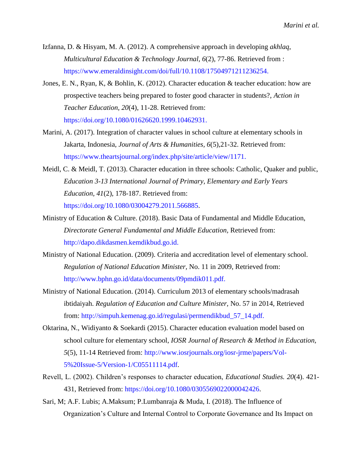- Izfanna, D. & Hisyam, M. A. (2012). A comprehensive approach in developing *akhlaq*, *Multicultural Education & Technology Journal, 6*(2), 77-86. Retrieved from : [https://www.emeraldinsight.com/doi/full/10.1108/17504971211236254.](https://www.emeraldinsight.com/doi/full/10.1108/17504971211236254)
- Jones, E. N., Ryan, K, & Bohlin, K. (2012). Character education & teacher education: how are prospective teachers being prepared to foster good character in students?, *Action in Teacher Education, 20*(4), 11-28. Retrieved from: <https://doi.org/10.1080/01626620.1999.10462931.>
- Marini, A. (2017). Integration of character values in school culture at elementary schools in Jakarta, Indonesia, *Journal of Arts & Humanities, 6*(5),21-32. Retrieved from: [https://www.theartsjournal.org/index.php/site/article/view/1171.](https://www.theartsjournal.org/index.php/site/article/view/1171)
- Meidl, C. & Meidl, T. (2013). Character education in three schools: Catholic, Quaker and public, *Education 3-13 International Journal of Primary, Elementary and Early Years Education, 41*(2), 178-187. Retrieved from: [https://doi.org/10.1080/03004279.2011.566885.](https://doi.org/10.1080/03004279.2011.566885)
- Ministry of Education & Culture. (2018). Basic Data of Fundamental and Middle Education, *Directorate General Fundamental and Middle Education,* Retrieved from: [http://dapo.dikdasmen.kemdikbud.go.id.](http://dapo.dikdasmen.kemdikbud.go.id/)
- Ministry of National Education. (2009). Criteria and accreditation level of elementary school. *Regulation of National Education Minister,* No. 11 in 2009, Retrieved from: [http://www.bphn.go.id/data/documents/09pmdik011.pdf.](http://www.bphn.go.id/data/documents/09pmdik011.pdf)
- Ministry of National Education. (2014). Curriculum 2013 of elementary schools/madrasah ibtidaiyah. *Regulation of Education and Culture Minister,* No. 57 in 2014, Retrieved from: [http://simpuh.kemenag.go.id/regulasi/permendikbud\\_57\\_14.pdf.](http://simpuh.kemenag.go.id/regulasi/permendikbud_57_14.pdf.)
- Oktarina, N., Widiyanto & Soekardi (2015). Character education evaluation model based on school culture for elementary school, *IOSR Journal of Research & Method in Education, 5*(5), 11-14 Retrieved from: [http://www.iosrjournals.org/iosr-jrme/papers/Vol-](http://www.iosrjournals.org/iosr-jrme/papers/Vol-5%20Issue-5/Version-1/C05511114.pdf)[5%20Issue-5/Version-1/C05511114.pdf.](http://www.iosrjournals.org/iosr-jrme/papers/Vol-5%20Issue-5/Version-1/C05511114.pdf)
- Revell, L. (2002). Children's responses to character education, *Educational Studies. 20*(4). 421- 431, Retrieved from: [https://doi.org/10.1080/0305569022000042426.](https://doi.org/10.1080/0305569022000042426)
- Sari, M; A.F. Lubis; A.Maksum; P.Lumbanraja & Muda, I. (2018). The Influence of Organization's Culture and Internal Control to Corporate Governance and Its Impact on